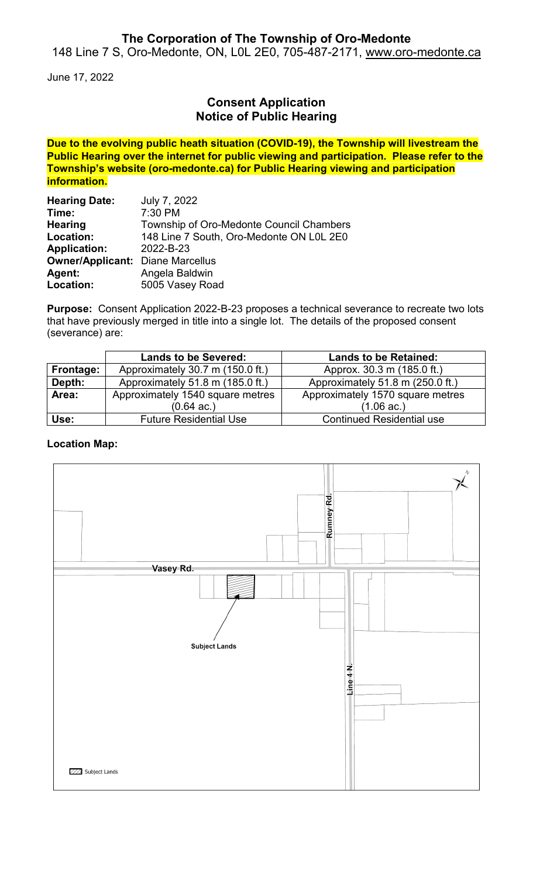## **The Corporation of The Township of Oro-Medonte**

148 Line 7 S, Oro-Medonte, ON, L0L 2E0, 705-487-2171, [www.oro-medonte.ca](http://www.oro-medonte.ca/)

June 17, 2022

## **Consent Application Notice of Public Hearing**

**Due to the evolving public heath situation (COVID-19), the Township will livestream the Public Hearing over the internet for public viewing and participation. Please refer to the Township's website (oro-medonte.ca) for Public Hearing viewing and participation information.**

| <b>Hearing Date:</b>                    | July 7, 2022                             |  |
|-----------------------------------------|------------------------------------------|--|
| Time:                                   | 7:30 PM                                  |  |
| <b>Hearing</b>                          | Township of Oro-Medonte Council Chambers |  |
| Location:                               | 148 Line 7 South, Oro-Medonte ON L0L 2E0 |  |
| <b>Application:</b>                     | 2022-B-23                                |  |
| <b>Owner/Applicant: Diane Marcellus</b> |                                          |  |
| Agent:                                  | Angela Baldwin                           |  |
| Location:                               | 5005 Vasey Road                          |  |

**Purpose:** Consent Application 2022-B-23 proposes a technical severance to recreate two lots that have previously merged in title into a single lot. The details of the proposed consent (severance) are:

|           | <b>Lands to be Severed:</b>      | <b>Lands to be Retained:</b>     |
|-----------|----------------------------------|----------------------------------|
| Frontage: | Approximately 30.7 m (150.0 ft.) | Approx. 30.3 m (185.0 ft.)       |
| Depth:    | Approximately 51.8 m (185.0 ft.) | Approximately 51.8 m (250.0 ft.) |
| Area:     | Approximately 1540 square metres | Approximately 1570 square metres |
|           | $(0.64 \text{ ac.})$             | $(1.06 \text{ ac.})$             |
| Use:      | <b>Future Residential Use</b>    | <b>Continued Residential use</b> |

#### **Location Map:**

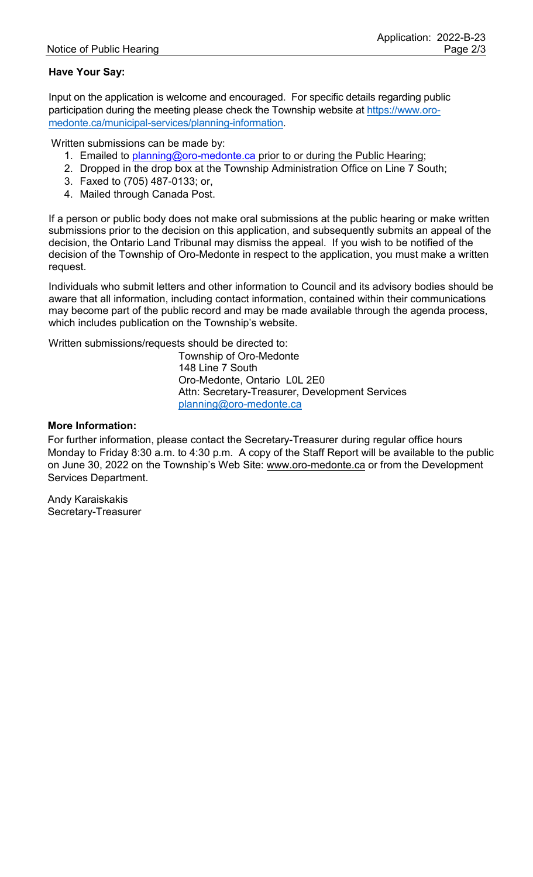### **Have Your Say:**

Input on the application is welcome and encouraged. For specific details regarding public participation during the meeting please check the Township website at [https://www.oro](https://www.oro-medonte.ca/municipal-services/planning-information)[medonte.ca/municipal-services/planning-information.](https://www.oro-medonte.ca/municipal-services/planning-information)

Written submissions can be made by:

- 1. Emailed to [planning@oro-medonte.ca](mailto:planning@oro-medonte.ca) prior to or during the Public Hearing;
- 2. Dropped in the drop box at the Township Administration Office on Line 7 South;
- 3. Faxed to (705) 487-0133; or,
- 4. Mailed through Canada Post.

If a person or public body does not make oral submissions at the public hearing or make written submissions prior to the decision on this application, and subsequently submits an appeal of the decision, the Ontario Land Tribunal may dismiss the appeal. If you wish to be notified of the decision of the Township of Oro-Medonte in respect to the application, you must make a written request.

Individuals who submit letters and other information to Council and its advisory bodies should be aware that all information, including contact information, contained within their communications may become part of the public record and may be made available through the agenda process, which includes publication on the Township's website.

Written submissions/requests should be directed to:

Township of Oro-Medonte 148 Line 7 South Oro-Medonte, Ontario L0L 2E0 Attn: Secretary-Treasurer, Development Services [planning@oro-medonte.ca](mailto:planning@oro-medonte.ca)

#### **More Information:**

For further information, please contact the Secretary-Treasurer during regular office hours Monday to Friday 8:30 a.m. to 4:30 p.m. A copy of the Staff Report will be available to the public on June 30, 2022 on the Township's Web Site: [www.oro-medonte.ca](http://www.oro-medonte.ca/) or from the Development Services Department.

Andy Karaiskakis Secretary-Treasurer